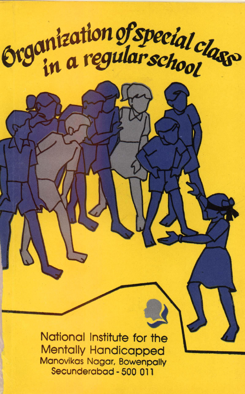

National Institute for the Mentally Handicapped Manovikas Nagar, Bowenpally Secunderabad - 500 01 1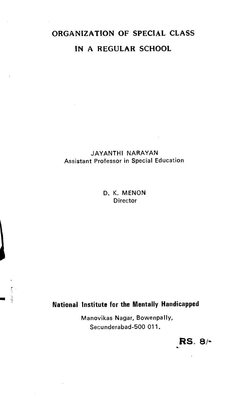# ORGANIZATION OF SPECIAL CLASS IN A REGULAR SCHOOL

#### JAYANTHI NARAYAN Assistant Professor in Special Education

D. K. MENON **Director** 

# National Institute for the Mentally Handicapped

Manovikas Nagar, Bowenpally, Secunderabad-500 011.

RS. 8/-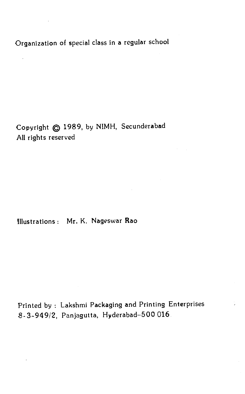Organization of special class in a regular school

 $\bar{\gamma}$ 

Copyright @ 1989, by NIMH, Secunderabad All rights reserved

Illustrations: Mr. K. Nageswar Rao

Printed by : Lakshmi Packaging and Printing Enterprises 8-3-949/2, Panjagutta, Hyderabad—500 016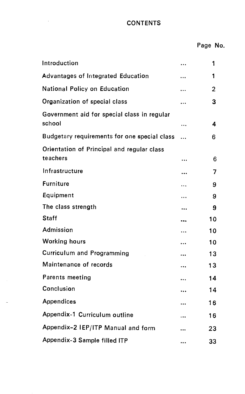# **CONTENTS**

| Introduction                                           |           | 1  |
|--------------------------------------------------------|-----------|----|
| Advantages of Integrated Education                     | $\ddotsc$ | 1  |
| National Policy on Education                           |           | 2  |
| Organization of special class                          |           | 3  |
| Government aid for special class in regular<br>school  | $\ddotsc$ | 4  |
| Budgetary requirements for one special class           |           | 6  |
| Orientation of Principal and regular class<br>teachers | $\ddotsc$ | 6  |
| Infrastructure                                         | $\ddotsc$ | 7  |
| <b>Furniture</b>                                       |           | 9  |
| Equipment                                              |           | 9  |
| The class strength                                     |           | 9  |
| <b>Staff</b>                                           |           | 10 |
| Admission                                              |           | 10 |
| <b>Working hours</b>                                   |           | 10 |
| <b>Curriculum and Programming</b>                      |           | 13 |
| Maintenance of records                                 | $\ddotsc$ | 13 |
| Parents meeting                                        | $\ddotsc$ | 14 |
| Conclusion                                             |           | 14 |
| Appendices                                             | $\ddotsc$ | 16 |
| Appendix-1 Curriculum outline                          |           | 16 |
| Appendix-2 IEP/ITP Manual and form                     | $\ddotsc$ | 23 |
| Appendix-3 Sample filled ITP                           |           | 33 |

J.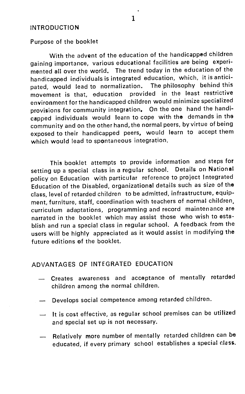#### <span id="page-4-0"></span>INTRODUCTION

Purpose of the booklet

With the advent of the education of the handicapped children gaining importance, various educational facilities are being experimented all over the world. The trend today in the education of the handicapped individuals is integrated education, which, it is antici-<br>pated would lead to normalization. The philosophy behind this pated, would lead to normalization. movement is that, education provided in the least restrictive environment for the handicapped children would minimize specialized provisions for community integration. On the one hand the handicapped individuals would learn to cope with the demands in the community and on the other hand, the normal peers, by virtue of being exposed to their handicapped peers, would learn to accept them which would lead to spontaneous integration.

This booklet attempts to provide information and steps for setting up a special class in a regular school. Details on National policy on Education with particular reference to project Integrated Education of the Disabled, organizational details such as size of the class, level of retarded children to be admitted, infrastructure, equipment, furniture, staff, coordination with teachers of normal children, curriculum adaptations, programming and record maintenance are narrated in the booklet which may assist those who wish to establish and run a special class in regular school. A feedback from the users will be highly appreciated as it would assist in modifying the future editions of the booklet.

#### ADVANTAGES OF INTEGRATED EDUCATION

- Creates awareness and acceptance of mentally retarded children among the normal children.
- Develops social competence among retarded children.
- It is cost effective, as regular school premises can be utilized and special set up is not necessary.
- Relatively more number of mentally retarded children can be educated, if every primary school establishes a special class.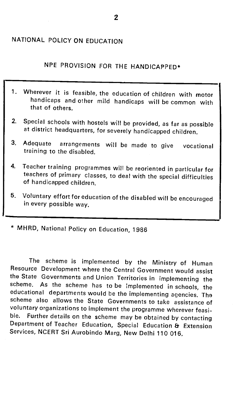# <span id="page-5-0"></span>NATIONAL POLICY ON EDUCATION

NPE PROVISION FOR THE HANDICAPPED\*

- 1. Wherever it is feasible, the education of children with motor handicaps and other mild handicaps will be common with that of others.
- 2, Special schools with hostels will be provided, as far as possible at district headquarters, for severely handicapped children.
- 3. Adequate arrangements will be made to give vocational training to the disabled.
- 4. Teacher training programmes will be reoriented in particular for teachers of primary classes, to deal with the special difficulties of handicapped children.
- 5. Voluntary effort for education of the disabled will be encouraged in every possible way.
- \* MHRD, National Policy on Education, 1986

The scheme is implemented by the Ministry of Human Resource Development where the Central Government would assist the State Governments and Union Territories in implementing the scheme. As the scheme has to be implemented in schools, the educational departments would be the implementing agencies. The scheme also allows the State Governments to take assistance of voluntary organizations to implement the programme wherever feasi-<br>ble. Further details on the scheme may be obtained by contacting ble. Further details on the scheme may be obtained by contacting<br>Department of Teacher Education, Special Education & Extension Services, NCERT Sri Aurobindo Marg, New Delhi 110 016.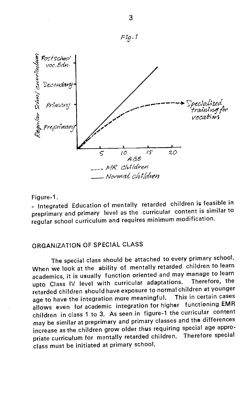<span id="page-6-0"></span>

Figure-1.

- Integrated Education of mentally retarded children is feasible in preprimary and primary level as the curricular content is similar to regular school curriculum and requires minimum modification.

## ORGANIZATION OF SPECIAL CLASS

The special class should be attached to every primary school. When we look at the ability of mentally retarded children to learn academics, it is usually function oriented and may manage to learn upto Class IV level with curricular adaptations. Therefore, the retarded children should have exposure to normal children at younger This in certain cases age to have the integration more meaningful. allows even for academic integration for higher functioning EMR children in class 1 to 3. As seen in figure-1 the curricular content may be similar at preprimary and primary classes and the differences increase as the children grow older thus requiring special age appropriate curriculum for mentally retarded children. Therefore special class must be initiated at primary school.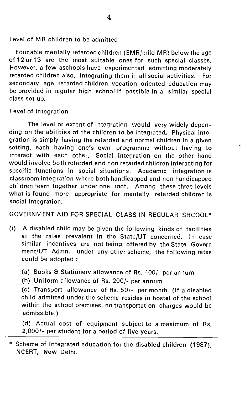<span id="page-7-0"></span>Level of MR children to be admitted

Educable mentally retarded children (EMR/mild MR) below the age of 12 or 13 are the most suitable ones for such special classes. However, a few aschools have experimented admitting moderately retarded children also, integrating them in all social activities. For secondary age retarded children vocation oriented education may be provided in regular high school if possible in a similar special class set up.

Level of integration

The level or extent of integration would very widely depen ding on the abilities of the children to be integrated. Physical integration is simply having the retarded and normal children in a given setting, each having one's own programme without having to interact with each other. Social integration on the other hand would involve both retarded and non retarded children interacting for specific functions in social situations. Academic integration is classroom integration where both handicapped and non handicapped children learn together under one roof. Among these three levels what is found more appropriate for mentally retarded children is social integration.

GOVERNMENT AID FOR SPECIAL CLASS IN REGULAR SHCOOL\*

- (i) A disabled child may be given the following kinds of facilities at the rates prevalent in the State/UT concerned. In case similar incentives are not being offered by the State Govern ment/UT Admn. under any other scheme, the following rates could be adopted
	- (a) Books & Stationery allowance of Rs. 400/- per annum
	- (b) Uniform allowance of Rs. 200/- per annum

(c) Transport allowance of Rs. 50/- per month (If a disabled child admitted under the scheme resides in hostel of the school within the school premises, no transportation charges would be admissible.)

(d) Actual cost of equipment subject to a maximum of Rs. 2,000/— per student for a period of five years.

\* Scheme of Integrated education for the disabled children (1987), NCERT, New Delhi.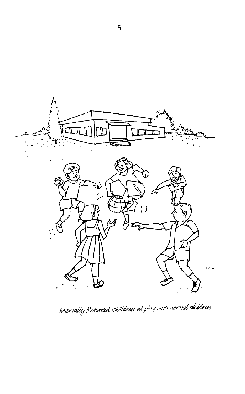

Mentally Retarded. children at play with normal obiddren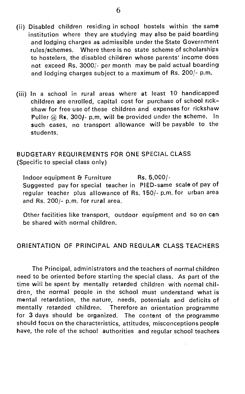- <span id="page-9-0"></span>(ii) Disabled children residing in school hostels within the same institution where they are studying may also be paid boarding and lodging charges as admissible under the State Government rules/schemes. Where there is no state scheme of scholarships to hostelers, the disabled children whose parents' income does not exceed Rs. 3000/- per month may be paid actual boarding and lodging charges subject to a maximum of Rs. 200/- p.m.
- (iii) In a school in rural areas where at least 10 handicapped children are enrolled, capital cost for purchase of school rick shaw for free use of these children and expenses for rickshaw Puller  $@$  Rs. 300/- p.m. will be provided under the scheme. In such cases, no transport allowance will be payable to the students.

### BUDGETARY REQUIREMENTS FOR ONE SPECIAL CLASS (Specific to special class only)

Indoor equipment  $\epsilon$  Furniture Rs. 5,000/-Suggested pay for special teacher in PIED-same scale of pay of regular teacher plus allowance of Rs. 150/- p.m. for urban area and Rs. 200/- p.m. for rural area.

Other facilities like transport, outdoor equipment and so on can be shared with normal children.

#### ORIENTATION OF PRINCIPAL AND REGULAR CLASS TEACHERS

The Principal, administrators and the teachers of normal children need to be oriented before starting the special class. As part of the time will be spent by mentally retarded children with normal children, the normal people in the school must understand what is mental retardation, the nature, needs, potentials and deficits of mentally retarded children. Therefore an orientation programme for 3 days should be organized. The content of the programme should focus on the characteristics, attitudes, misconceptions people have, the role of the school authorities and regular school teachers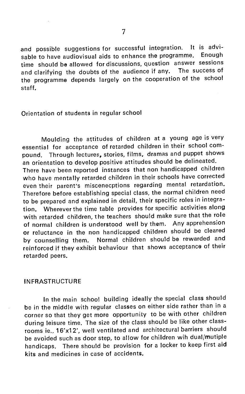<span id="page-10-0"></span>and possible suggestions for successful integration. It is advi-<br>sable to have audiovisual aids to enhance the programme. Enough sable to have audiovisual aids to enhance the programme. time should be allowed for discussions, question answer sessions<br>and clarifying the doubts of the audience if any. The success of and clarifying the doubts of the audience if any. the programme depends largely on the cooperation of the school staff.

#### Orientation of students in regular school

Moulding the attitudes of children at a young age is very essential for acceptance of retarded children in their school compound. Through lectures, stories, films, dramas and puppet shows an orientation to develop positive attitudes should be delineated.

There have been reported instances that non handicapped children who have mentally retarded children in their schools have corrected even their parent's miscenecptions regarding mental retardation. Therefore before establishing special class, the normal children need to be prepared and explained in detail, their specific roles in integration. Wherever the time table provides for specific activities along with retarded children, the teachers should make sure that the role of normal children is understood well by them. Any apprehension or reluctance in the non handicapped children should be cleared by counselling them. Normal children should be rewarded and reinforced if they exhibit behaviour that shows acceptance of their retarded peers.

#### INFRASTRUCTURE

In the main school building ideally the special class should be in the middle with regular classes on either side rather than in a corner so that they get more opportunity to be with other children during leisure time. The size of the class should be like other classrooms ie., 16'x12', well ventilated and architectural barriers should be avoided such as door step, to allow for children wih dual/mutiple handicaps. There should be provision for a locker to keep first aid kits and medicines in case of accidents.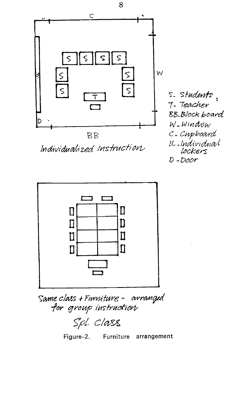

8

Individualized Instruction

s. students 7. Teacher BB.Blockboard W-Window C-Cupboard IL-Individual<br>Lockers  $D$ -Door



Same class + Furniture - arranged for group instruction

Spl. Class

Figure-2. Furniture arrangement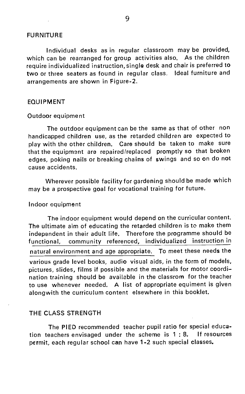#### <span id="page-12-0"></span>FURNITURE

Individual desks as in regular classroom may be provided, which can be rearranged for group activities also. As the children require individualized instruction, single desk and chair is preferred to two or three seaters as found in regular class. Ideal furniture and arrangements are shown in Figure-2.

#### EQUIPMENT

#### Outdoor equipment

The outdoor equipment can be the same as that of other non handicapped children use, as the retarded children are expected to play with the other children. Care should be taken to make sure that the equipment are repaired/replaced promptly so that broken edges, poking nails or breaking chains of swings and so on do not cause accidents.

Wherever possible facility for gardening should be made which may be a prospective goal for vocational training for future.

#### Indoor equipment

The indoor equipment would depend on the curricular content. The ultimate aim of educating the retarded children is to make them independent in their adult life. Therefore the programme should be functional, community referenced, individualized instruction in natural environment and age appropriate. To meet these needs the various grade level books, audio visual aids, in the form of models, pictures, slides, films if possible and the materials for motor coordination training should be available in the classrom for the teacher to use whenever needed. A list of appropriate equiment is given alongwith the curriculum content elsewhere in this booklet.

#### THE CLASS STRENGTH

The PIED recommended teacher pupil ratio for special education teachers envisaged under the scheme is 1 : 8. If resources permit, each regular school can have 1-2 such special classes.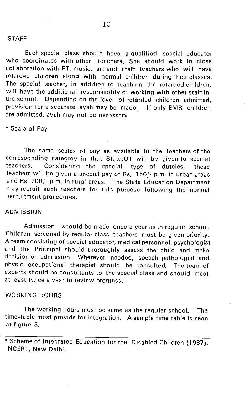<span id="page-13-0"></span>Each special class should have a qualified special educator who coordinates with other teachers. She should work in close collaboration with PT. music, art and craft teachers who will have retarded children along with normal children during their classes. The special teacher, in addition to teaching the retarded children, will have the additional responsibility of working with other staff in the school. Depending on the level of retarded children admitted, provision for a separate ayah may be made If only EMR children are admitted, ayah may not be necessary

\* Scale of Pay

The same scales of pay as available to the teachers of the corresponding categroy in that State/UT will be given to special<br>teachers. Considering the special type of duteies, these Considering the special type of duteies, these teachers will be given a special pay of Rs. 150/- p.m. in urban areas end Rs 200/- p m. in rural areas. The State Education Department may recruit such teachers for this purpose following the normal recruitment procedures.

#### ADMISSION

Admission should be made once a year as in regular school. Children screened by regular class teachers must be given priority. A team consisting of special educator, medical personnel, psychologist and the Prircipal should thoroughly assess the child and make decision on admission. Wherever needed, speech pathologist and physlo occupational therapist should be consulted. The team of experts should be consultants to the special class and should meet at least twice a year to review progress.

#### WORKING HOURS

The working hours must be same as the regular school. The time-table must provide for integration. A sample time table is seen at figure-3.

<sup>\*</sup> Scheme of Integrated Education for the Disabled Children (1987), NCERT, New Delhi.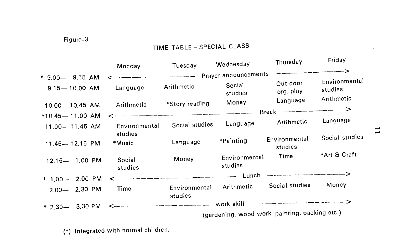## Figure-3

 $\sim 10^{11}$  m  $^{-1}$ 

# TIME TABLE — SPECIAL CLASS

|                                           | Monday                                                    | Tuesday                                                                                                           | Wednesday                | Thursday                                       | Friday                   |       |
|-------------------------------------------|-----------------------------------------------------------|-------------------------------------------------------------------------------------------------------------------|--------------------------|------------------------------------------------|--------------------------|-------|
| * 9.00- 9.15 AM                           | <----------------------------------- Prayer announcements |                                                                                                                   |                          |                                                |                          |       |
| $9.15 - 10.00$ AM                         | Language                                                  | Arithmetic                                                                                                        | Social<br>studies        | Out door<br>org. play                          | Environmental<br>studies |       |
| $10.00 - 10.45$ AM                        | Arithmetic                                                | *Story reading                                                                                                    | Money                    | Language                                       | Arithmetic               |       |
|                                           |                                                           | , and an experimental process and the second contract and construction of the second contract and contract of the |                          | Break ------------------>                      |                          |       |
| $*10.45 - 11.00$ AM<br>$11.00 - 11.45$ AM | Environmental                                             | Social studies                                                                                                    | Language                 | Arithmetic                                     | Language                 | $\Xi$ |
| 11.45-12.15 PM                            | studies<br>*Music                                         | Language                                                                                                          | *Painting                | Environmental<br>studies                       | Social studies           |       |
| 12.15- 1.00 PM                            | Social<br>studies                                         | Money                                                                                                             | Environmental<br>studies | Time                                           | *Art & Craft             |       |
| * $1,00 - 2,00$ PM                        |                                                           |                                                                                                                   |                          |                                                |                          |       |
| 2.00-2.30 PM                              | Time                                                      | Environmental<br>studies                                                                                          | Arithmetic               | Social studies                                 | Money                    |       |
|                                           |                                                           |                                                                                                                   |                          |                                                |                          |       |
| $*$ 2.30 $-$ 3.30 PM                      |                                                           |                                                                                                                   |                          | (gardening, wood work, painting, packing etc.) |                          |       |

(\*) Integrated with normal children.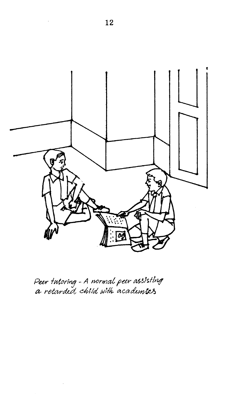

Peer tutoring - A normal peer assisting<br>a retarded child with academics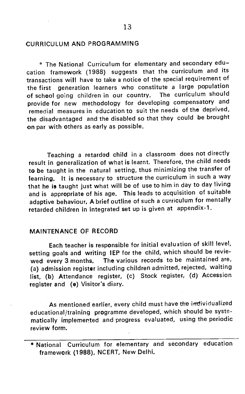#### <span id="page-16-0"></span>CURRICULUM AND PROGRAMMING

\* The National Curriculum for elementary and secondary education framework (1988) suggests that the curriculum and its transactions will have to take a notice of the special requirement of the first generation learners who constitute a large population<br>of school going children in our country. The curriculum should of school going children in our country. provide for new methodology for developing compensatory and remedial measures in education to suit the needs of the deprived, the disadvantaged and the disabled so that they could be brought on par with others as early as possible.

Teaching a retarded child in a classroom does not directly result in generalization of what is learnt. Therefore, the child needs to be taught in the natural setting, thus minimizing the transfer of learning. It is necessary to structure the curriculum in such a way that he is taught just what will be of use to him in day to day living and is appropriate of his age. This leads to acquisition of suitable adaptive behaviour. A brief outline of such a curriculum for mentally retarded children in integrated set up is given at appendix-1.

#### MAINTENANCE OF RECORD

Each teacher is responsible for initial evaluation of skill level, setting goals and writing IEP for the child, which should be reviewed every 3 months. The various records to be maintained are, (a) admission register including children admitted, rejected, waiting list, (b) Attendance register, (c) Stock register, (d) Accession register and (e) Visitor's diary.

As mentioned earlier, every child must have the individualized educational/training programme developed, which should be systematically implemented and progress evaluated, using the periodic review form.

<sup>\*</sup> National Curriculum for elementary and secondary education framework (1988), NCERT, New Delhi.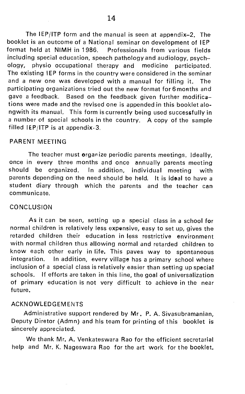<span id="page-17-0"></span>The IEP/ITP form and the manual is seen at appendix—2. The booklet is an outcome of a National seminar on development of IEP format held at NIMH in 1986. Professionals from various fields including special education, speech pathologyand audiology, psychphysio occupational therapy and medicine participated. The existing IEP forms in the country were considered in the seminar and a new one was developed with a manual for filling it. The participating organizations tried out the new format for 6 months and gave a feedback. Based on the feedback given further modifications were made and the revised one is appended in this booklet alongwith its manual. This form is currently being used successfully in a number of special schools in the country. A copy of the sample filled IEP/ITP is at appendix-3.

#### PARENT MEETING

The teacher must organize periodic parents meetings. Ideally, once in every three months and once annually parents meeting should be organized. In addition, individual meeting with parents depending on the need should be held. It is ideal to have a student diary through which the parents and the teacher can communicate.

#### **CONCLUSION**

As it can be seen, setting up a special class in a school for normal children is relatively less expensive, easy to set up, gives the retarded children their education in less restrictive environment with normal children thus allowing normal and retarded children to know each other early in life. This paves way to spontaneous integration. In addition, every village has a primary school where inclusion of a special class is relatively easier than setting up special schools. If efforts are taken in this line, the goal of universalization of primary education is not very difficult to achieve in the near future.

#### **ACKNOWLEDGEMENTS**

Administrative support rendered by Mr. P. A. Sivasubramanian, Deputy Diretor (Admn) and his team for printing of this booklet is sincerely appreciated.

We thank Mr. A. Venkateswara Rao for the efficient secretarial help and Mr. K. Nageswara Rao for the art work for the booklet.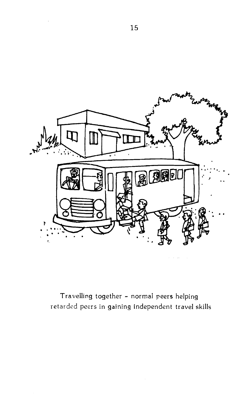

Travelling together — normal peers helping retarded peers in gaining independent travel skills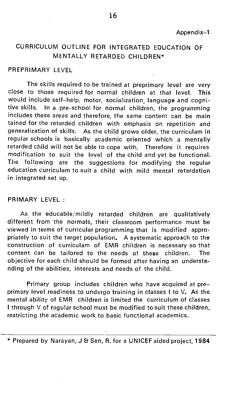# <span id="page-19-0"></span>CURRICULUM OUTLINE FOR INTEGRATED EDUCATION OF MENTALLY RETARDED CHILDREN\*

#### PREPRIMARY LEVEL

The skills required to be trained at preprimary level are very close to those required for normal children at that level, This would include self—help, motor, socialization, language and cognitive skills. In a pre-school for normal children, the programming includes these areas and therefore, the same content can be main tained for the retarded children with emphasis on repetition and generalization of skills. As the child grows older, the curriculam in regular schools is basically academic oriented which a mentally retarded child will not be able to cope with. Therefore it requires modification to suit the level of the child and yet be functional. The following are the suggestions for modifying the regular education curriculam to suit a child with mild mental retardation in integrated set up.

#### PRIMARY LEVEL

As the educable/mildly retarded children are qualitatively different from the normals, their classroom performance must be viewed in terms of curricular programming that is modified appropriately to suit the target population. A systematic approach to the construction of curriculam of EMR children is necessary so that content can be tailored to the needs of these children. The objective for each child should be formed after having an understanding of the abilities, interests and needs of the child.

Primary group includes children who have acquired at preprimary level readiness to undergo training in classes I to V. As the mental ability of EMR children is limited the curriculum of classes I through V of regular school must be modified to suit these children, restricting the academic work to basic functional academics.

<sup>\*</sup> Prepared by Narayan, J & Sen, R. for a UNICEF aided project, 1984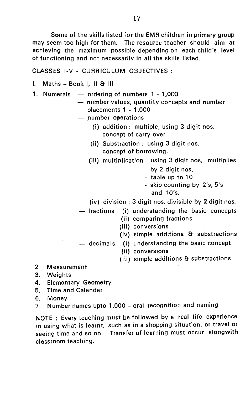Some of the skills listed for the EMR children in primary group may seem too high for them. The resource teacher should aim at achieving the maximum possible depending on each child's level of functioning and not necessarily in all the skills listed.

CLASSES 1.-V - CURRICULUM OBJECTIVES:

Maths — Book I, II & Ill

- 1. Numerals ordering of numbers 1 1,OCO
	- number values, quantity concepts and number placements 1 - 1,000

— number operations

- $(i)$  addition: multiple, using 3 digit nos. concept of carry over
- (ii) Substraction : using 3 digit nos. concept of borrowing.
- (iii) multiplication using 3 digit nos. multiplies
	- by 2 digit nos.
	- table up to 10
	- skip counting by 2's, 5's and 10's.

(iv) division : 3 digit nos. divisible by 2 digit nos.

- fractions (I) understanding the basic concepts
	- (ii) comparing fractions
	- (iii) conversions
	- (iv) simple additions & substractions
- decimals (i) understanding the basic concept
	- (ii) conversions
	- (iii) simple additions & substractions
- 2. Measurement
- 3. Weights
- 4. Elementary Geometry
- 5. Time and Calender
- 6. Money

7. Number names upto 1,000— oral recognition and naming

NOTE : Every teaching must be followed by a real life experience in using what is learnt, such as in a shopping situation, or travel or seeing time and so on. Transfer of learning must occur alongwith clessroom teaching.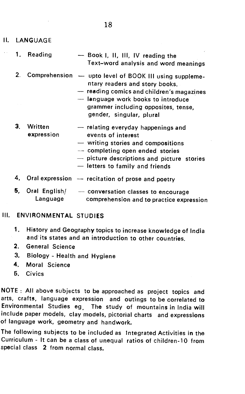- II. LANGUAGE
	- 1. Reading Book I, II, Ill, IV reading the Text—word analysis and word meanings
	- 2. Comprehension upto level of BOOK Ill using supplementary readers and story books.
		- reading comics and children's magazines
		- language work books to introduce grammer including opposites, tense, gender, singular, plural
	- 3. Written  $-$  relating everyday happenings and expression events of interest events of interest
		- writing stories and compositions
		- completing open ended stories
		- picture descriptions and picture stories
		- letters to family and friends
	- 4. Oral expression recitation of prose and poetry
	- 5, Oral English/ conversation classes to encourage Language comprehension and to practice expression

### Ill. ENVIRONMENTAL STUDIES

- 1. History and Geography topics to increase knowledge of India and its states and an introduction to other countries.
- 2. General Science
- 3. Biology Health and Hygiene
- 4. Moral Science
- 5. Civics

NOTE : All above subjects to be approached as project topics and arts, crafts, language expression and outings to be correlated to Environmental Studies eg The study of mountains in India will include paper models, clay models, pictorial charts and expressions of language work, geometry and handwork.

The following subjects to be included as Integrated Activities in the Curriculum - It can be a class of unequal ratios of children-1O from special class 2 from normal class.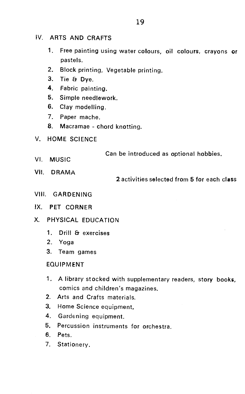### IV. ARTS AND CRAFTS

- 1. Free painting using water colours, oil colours, crayons or pastels.
- 2. Block printing, Vegetable printing.
- 3. Tie & Dye.
- 4. Fabric painting.
- 5. Simple needlework.
- 6. Clay modelling.
- 7. Paper mache.
- 8. Macramae chord knotting.
- V. HOME SCIENCE

Can be introduced as optional hobbies. VI. MUSIC

- 
- VII. DRAMA

### 2 activities selected from 5 for each class

- VIII. GARDENING
- IX. PET CORNER
- X. PHYSICAL EDUCATION
	- 1. Drill & exercises
	- 2. Yoga
	- 3. Team games

#### EQUIPMENT

- 1. A library stocked with supplementary readers, story books, comics and children's magazines.
- 2. Arts and Crafts materials.
- 3. Home Science equipment.
- 4. Gardening equipment.
- 5. Percussion instruments for orchestra.
- 6. Pets.
- 7. Stationery.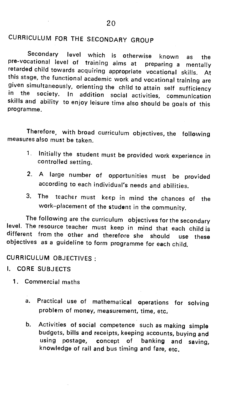# CURRICULUM FOR THE SECONDARY GROUP

Secondary level which is otherwise known as the pre-vocational level of training aims at preparing a mentally retarded child towards acquiring appropriate vocational skills. At this stage, the functional academic work and vocational training are<br>given simultaneously, orienting the child to attain self sufficiency in the society. In addition social activities, communication skills and ability to enjoy leisure time also should be goals of this programme.

Therefore, with broad curriculum objectives, the following measures also must be taken.

- 1. Initially the student must be provided work experience in controlled setting.
- 2. A large number of opportunities must be provided according to each individual's needs and abilities.
- 3. The teacher must keep in mind the chances of the work—placement of the student in the community.

The following are the curriculum objectives for the secondary level. The resource teacher must keep in mind that each child is different from the other and therefore she should use these objectives as a guideline to form programme for each child.

CURRICULUM OBJECTIVES

I. CORE SUBJECTS

- 1. Commercial maths
	- a. Practical use of mathematical operations for solving problem of money, measurement, time, etc.
	- b. Activities of social competence such as making simple budgets, bills and receipts, keeping accounts, buying and using postage, concept of banking and saving, knowledge of rail and bus timing and fare, etc.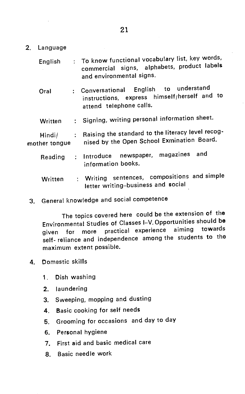2. Language

| English                 |                             | : To know functional vocabulary list, key words,<br>commercial signs, alphabets, product labels<br>and environmental signs. |
|-------------------------|-----------------------------|-----------------------------------------------------------------------------------------------------------------------------|
| Oral                    |                             | English to understand<br>: Conversational<br>instructions, express himself/herself and to<br>attend telephone calls.        |
| Written                 |                             | : Signing, writing personal information sheet.                                                                              |
| Hindi/<br>mother tongue | $\mathcal{L}^{\mathcal{L}}$ | Raising the standard to the literacy level recog-<br>nised by the Open School Exmination Board.                             |
| Reading                 |                             | : Introduce newspaper, magazines and<br>information books.                                                                  |
| Written                 | ÷.                          | Writing sentences, compositions and simple<br>letter writing-business and social                                            |

3. General knowledge and social competence

The topics covered here could be the extension of the Environmental Studies of Classes I—V. Opportunities should be given for more practical experience aiming towards self- reliance and independence among the students to the maximum extent possible.

- 4. Domestic skills
	- 1. Dish washing
	- 2. laundering
	- 3. Sweeping, mopping and dusting
	- 4. Basic cooking for self needs
	- 5. Grooming for occasions and day to day
	- 6. Personal hygiene
	- 7. First aid and basic medical care
	- 8. Basic needle work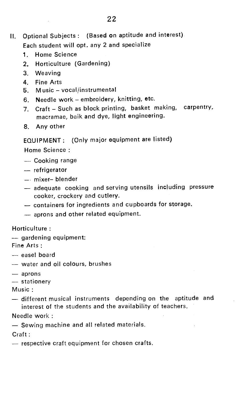- II. Optional Subjects : (Based on aptitude and interest) Each student will opt. any 2 and specialize
	- 1. Home Science
	- 2. Horticulture (Gardening)
	- 3. Weaving
	- 4. Fine Arts
	- 5. Music vocal/instrumental
	- 6. Needle work embroidery, knitting, etc.
	- 7. Craft Such as block printing, basket making, carpentry, macramae, baik and dye, light engineering.
	- 8. Any other

## EQUIPMENT: (Only major equipment are listed)

Home Science

- Cooking range
- refrigerator
- mixer— blender
- adequate cooking and serving utensils including pressure cooker, crockery and cutlery.
- containers for ingredients and cupboards for storage.
- aprons and other related equipment.

## Horticulture:

— gardening equipment:

Fine Arts

- easel board
- water and oil colours, brushes
- aprons
- stationery

Music:

— different musical instruments depending on the aptitude and interest of the students and the availability of teachers.

## Needle work :

— Sewing machine and all related materials.

Craft:

— respective craft equipment for chosen crafts.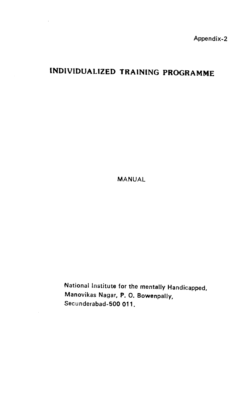Appendix-2

# <span id="page-26-0"></span>INDIVIDUALIZED TRAINING PROGRAMME

MANUAL

National Institute for the mentally Handicapped, Manovikas Nagar, P. 0. Bowenpally, Secunderabad-500 011.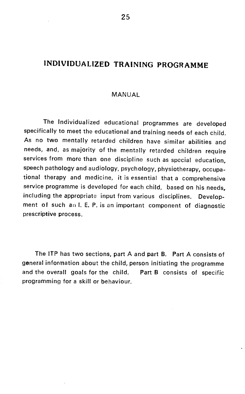# INDIVIDUALIZED TRAINING PROGRAMME

#### MANUAL

The Individualized educational programmes are developed specifically to meet the educational and training needs of each child. As no two mentally retarded children have similar abilities and needs, and, as majority of the mentally retarded children require services from more than one discipline such as special education, speech pathology and audiology, psychology, physiotherapy, occupational therapy and medicine, it is essential that a comprehensive service programme is developed for each child, based on his needs, including the appropriate input from various disciplines. Development of such an I. E. P. is an important component of diagnostic prescriptive process.

The lIP has two sections, part A and part B. Part A consists of general information about the child, person initiating the programme and the overall goals for the child. Part B consists of specific programming for a skill or behaviour.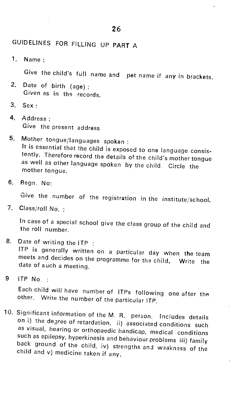# GUIDELINES FOR FILLING UP PART A

1. Name:

Give the child's full name and pet name if any in brackets.

- 2. Date of birth (age) Given as in the records.
- 3. Sex:
- 4. Address: Give the present address
- 5. Mother tongue/languages spoken It is essential that the child is exposed to one language consis-<br>tently. Therefore record the details of the child's mother tongue as well as other language spoken by the child. Circle the mother tongue.
- 6. Regn. No:

Give the number of the registration in the institute/school.

7. Class/roll No.

In case of a special school give the class group of the child and the roll number.

8. Date of writing the ITP :

ITP is generally written on a particular day when the team meets and decides on the programme for the child. Write the date of such a meeting

 $9$  ITP No.  $\cdot$ 

Each child will have number of ITPs following one after the other. Write the number of the particular ITP.

10. Significant information of the M. R. person, Includes details on i) the degree of retardation, ii) associated conditions such as visual, hearing or orthopaedic handicap, medical conditions such as epilepsy, hyperkinesi back ground of the child, iv) strengths and waakness of the child and v) medicine taken if any.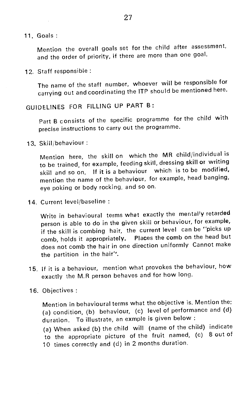11. Goals:

Mention the overall goals set for the child after assessment, and the order of priority, if there are more than one goal.

12. Staff responsible

The name of the staff number, whoever will be responsible for carrying out and coordinating the ITP should be mentioned here.

## GUIDELINES FOR FILLING UP PART B:

Part B consists of the specific programme for the child with precise instructions to carry out the programme.

'13. Skill/behaviour

Mention here, the skill on which the MR child/individual is to be trained, for example, feeding skill, dressing skill or writing skill and so on, If it is a behaviour which is to be modified, mention the name of the behaviour, for example, head banging, eye poking or body rocking, and so on.

14. Current level/baseline

Write in behavioural terms what exactly the mentally retarded person is able to do in the given skill or behaviour, for example, if the skill is combing hair, the current level can be "picks up comb, holds it appropriately. Places the comb on the head but does not comb the hair in one direction uniformly Cannot make the partition in the hair".

- 15. If it is a behaviour, mention what provokes the behaviour, how exactly the M.R person behaves and for how long.
- 16. Objectives :

Mention in behavioural terms what the objective is. Mention the: (a) condition, (b) behaviour, (c) level of performance and (d) duration. To illustrate, an exmple is given below:

- (a) When asked (b) the child will (name of the child) indicate
- to the appropriate picture of the fruit named, (c) 8 out of
- 10 times correctly and (d) in 2 months duration.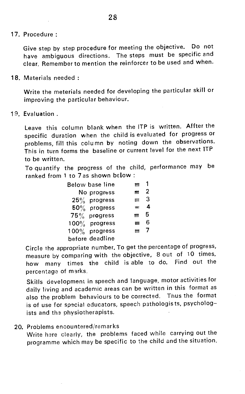17. Procedure

Give step by step procedure for meeting the objective. Do not have ambiguous directions. The steps must be specific and clear. Remember to mention the reinforcer to be used and when.

18. Materials needed

Write the meterials needed for developing the particular skill or improving the particular behaviour.

19. Evaluation.

Leave this column blank when the ITP is written. Affter the specific duration when the child is evaluated for progress or problems, fill this column by noting down the observations. This in turn forms the baseline or current level for the next ITP to be written.

To quantify the progress of the child, performance may be ranked from 1 to 7as shown below

| Below base line  |   |            |  |
|------------------|---|------------|--|
| No progress      |   | $\equiv$ 2 |  |
| $25\%$ progress  |   | $\equiv$ 3 |  |
| $50\%$ progress  |   | $=$ 4      |  |
| $75\%$ progress  |   | $\equiv$ 5 |  |
| $100\%$ progress | ≖ | Բ          |  |
| $100\%$ progress |   | $= 7$      |  |
| before deadline  |   |            |  |

Circle the appropriate number. To get the percentage of progress, measure by comparing with the objective, 8 out of 10 times. how many times the child is able to do. Find out the percentage of marks.

Skills development in speech and language, motor activities for daily living and academic areas can be written in this format as also the problem behaviours to be corrected. Thus the format is of use for special educators, speech pathologists, psychologists and the physiotherapists.

20. Problems encountered/remarks

Write here clearly, the problems faced while carrying out the programme which may be specific to the child and the situation.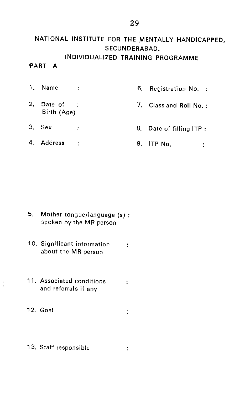# NATIONAL INSTITUTE FOR THE MENTALLY HANDICAPPED, SECUNDERABAD. INDIVIDUALIZED TRAINING PROGRAMME

### PART A

- 1. Name : 6. Registration No. : 2. Date of : T. Class and Roll No.: Birth (Age)  $3.$  Sex  $\vdots$  8. Date of filling ITP:
- 4. Address : 9. ITP No. ÷.

 $\ddot{\phantom{a}}$ 

- 5. Mother tongue/language (s) 3poken by the MR person
- 10. Significant information about the MR person
- 11. Associated conditions : and referrals if any
- $12.$  Goal

 $\frac{1}{2}$ 

1 3. Staff responsible÷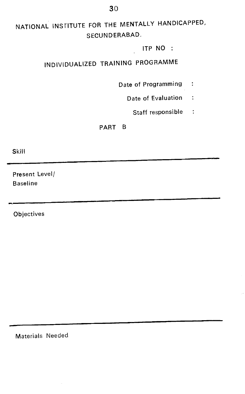# NATIONAL INStITUTE FOR THE MENTALLY HANDICAPPED, SECUNDERABAD.

#### ITP NO

# INDIVIDUALIZED TRAINING PROGRAMME

- Date of Programming :
	- Date of Evaluation :
		- Staff responsible :

#### PART B

Skill

Present Level/ Baseline

**Objectives** 

Materials Needed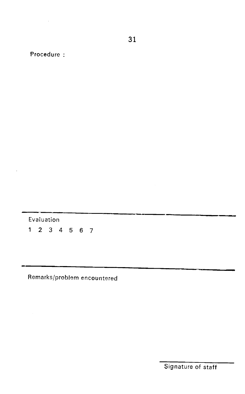Procedure

Evaluation<br> $1 \t2 \t3 \t4 \t5 \t6 \t7$ 

Remarks/problem encountered

31

Signature of staff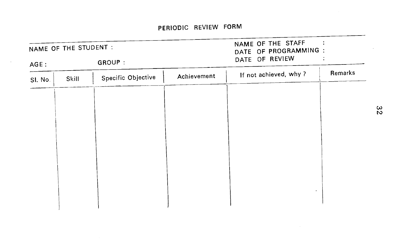$\sim$   $\pm$ 

|         | NAME OF THE STUDENT : |                    | NAME OF THE STAFF<br>DATE OF PROGRAMMING : |                       |         |
|---------|-----------------------|--------------------|--------------------------------------------|-----------------------|---------|
| AGE:    |                       | GROUP :            |                                            | DATE OF REVIEW        |         |
| SI. No. | Skill                 | Specific Objective | Achievement                                | If not achieved, why? | Remarks |
|         |                       |                    |                                            |                       |         |
|         |                       |                    |                                            |                       |         |
|         |                       |                    |                                            |                       |         |
|         |                       |                    |                                            |                       |         |
|         |                       |                    |                                            |                       |         |
|         |                       |                    |                                            |                       |         |
|         |                       |                    |                                            |                       |         |
|         |                       |                    |                                            |                       |         |

 $\sim$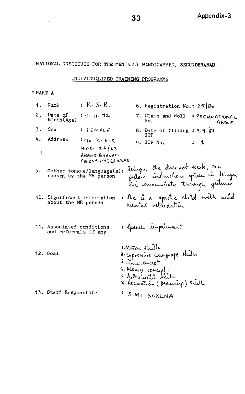<span id="page-35-0"></span>NATIONAL INSTITUTE FOR THE MENTALLY HANDICAPPED, SECUNDERABAD

#### INDIVIDUALIZED TRAINING PROGRAMME

#### PART A

|               | 1. Name                                           | : K.S. B.                                                 |                                | 6. Registration No.: $25/86$                                                                                |       |  |
|---------------|---------------------------------------------------|-----------------------------------------------------------|--------------------------------|-------------------------------------------------------------------------------------------------------------|-------|--|
|               | 2. Date of<br>Birth(Age)                          | ・す。(1, す2,                                                |                                | 7. Class and Roll : PREVOCATIONAL<br>No.                                                                    | GROUP |  |
|               | 3. Sex                                            | : FEMALE                                                  |                                | 8. Date of filling : 9.9.87<br>TTP                                                                          |       |  |
|               | 4. Address                                        | $: c _D \lt k \cdot v \cdot R$                            |                                | 9. ITP No.                                                                                                  | : 4.  |  |
| $\pmb{\cdot}$ |                                                   | $H \cdot N0 = 22/23$<br>ANAND BHAVAN<br>COLONY. HYDERABAD |                                |                                                                                                             |       |  |
|               |                                                   | 5. Mother tongue/language(s):<br>spoken by the MR person  |                                | Jelugn, She doernot speak, can<br>follow instructions griven in Telugn<br>She communicates through gestures |       |  |
|               | about the MR person                               | 10. Significant information                               |                                | : The is a spastic club with mild                                                                           |       |  |
|               | 11. Associated conditions<br>and referrals if any |                                                           |                                | : Speech impairment                                                                                         |       |  |
|               | 12. Goal                                          |                                                           | Motor ekille<br>3 Jine concept | a Expressive Language skills<br>4. Money concept.<br>5. Anthrueta skille<br>8. Recreation (Drawing) skille  |       |  |
|               | 13. Staff Responsible                             |                                                           |                                | SIMI SAXENA                                                                                                 |       |  |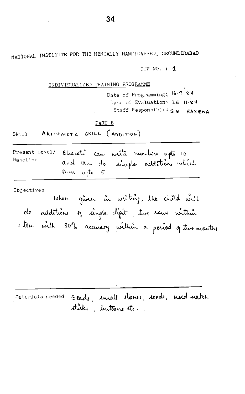NATIONAL INSTITUTE FOR THE MENTALLY HANDICAPPED, SECUNDERABAD

ITP NO. : 1

INDIVIDUALIZED TRAINING PROGRAMME

Date of Programming: 16.9 27 Date of Evaluation: 26 0 37 Staff Responsible: SIMI SAXENA

#### PART B

ARITHMETIC SKILL (ADDITION) Skill

| Present Level/ |            |  | Bharati can urite nuniters upto 10 |  |
|----------------|------------|--|------------------------------------|--|
| Baseline       |            |  | and an do simple additione which   |  |
|                | Sun upto 5 |  |                                    |  |

Objectives

When given in writing, the child will do additions of single cligit, two rows within I ten with 80% accuracy within a period of two months

Materials needed Beads, small stones, seeds, need match sticks, buttons etc.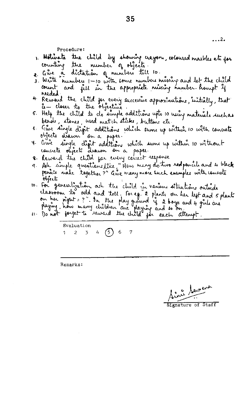$\cdots$ <sup>2</sup>

Procedure:

- 1. Motivate the child by showing crayons, coloured marbles etc for counting the number of objects
- 
- a aire à dictation of numbers till 10.<br>3. Write numbers 1-10 with some numbers suivang and let the child count and fill in the appropriate nuising number hompt if reeded.
- 4 Remand the child for every successive approximations, initially, that
- 6 Help the child to do simple additions upto 10 using materials such as beach, stones, used match sticks, buttons etc.
- 6. Gue single d'est additions which sume up within 10 with concrete
- 7. lime single digit additions which sume up within 10 without concrete objects drawn on a paper.
- 8. Reward the child for every concert response
- 9. All simple quarticine like "Hew many do two redpencils and 4 black peneits nake together?" Give many more such examples with concrete objects
- 10. For generalization, ask the child in various situations outside<br>classroom to add and tell. For eg. 2 plants on her left and 5 plants<br>on her right = ?". In the play ground is a boys and 4 girls are<br>playing, how many chi
	-

Evaluation 1 2 3 4 (5) 6 7

Remarks:

2 Servens

Signature of Staff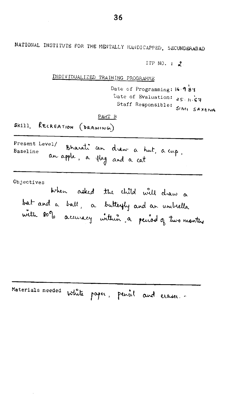ITP NO. :  $2$ . INDIVIDUALIZED TRAINING PROGRAMME Date of Programming: 16.987 Date of Evaluation:  $25.1.67$ Staff Responsible: SIMI SAXENA PART B Skill. RECREATION (DRAWING) Present Level/ Bharati can draw a tut, a cup, Baseline an apple, a flag and a cat Objectives When asked the child will draw a bat and a ball, a butterfly and an univella with soop accuracy within a period of two months

Materials needed white paper, pencil and eraser.

NATIONAL INSTITUTE FOR THE MENTALLY HANDICAPPED, SECUNDERABAD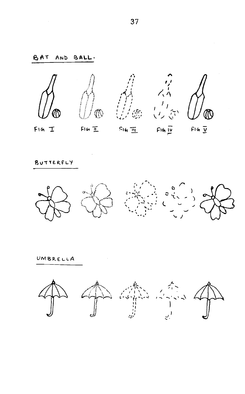# **BAT** AND BALL. - スキー<br>- スキー<br>- しっぷ 有趣 恋  $P16 \overline{11}$   $P16 \overline{10}$  $F1G$   $I$  $Flon \t\underline{\overline{H}}$  $F16 \overline{y}$

BUTTERFLY



UMBRELLA